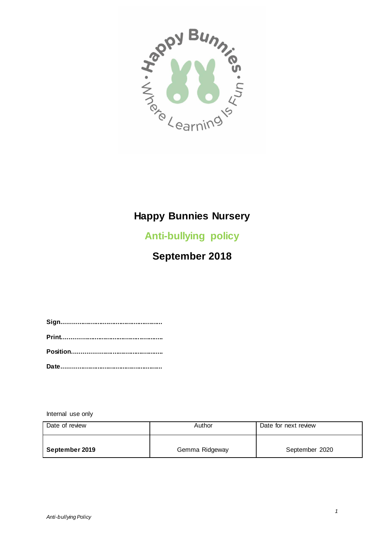

# **Happy Bunnies Nursery**

**Anti-bullying policy**

**September 2018**

Internal use only

| Date of review | Author         | Date for next review |
|----------------|----------------|----------------------|
| September 2019 | Gemma Ridgeway | September 2020       |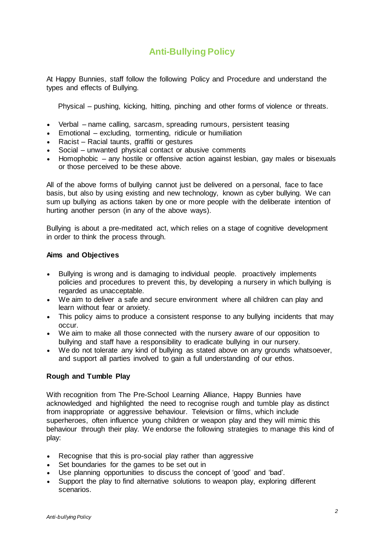## **Anti-Bullying Policy**

At Happy Bunnies, staff follow the following Policy and Procedure and understand the types and effects of Bullying.

Physical – pushing, kicking, hitting, pinching and other forms of violence or threats.

- Verbal name calling, sarcasm, spreading rumours, persistent teasing
- Emotional excluding, tormenting, ridicule or humiliation
- Racist Racial taunts, graffiti or gestures
- Social unwanted physical contact or abusive comments
- Homophobic any hostile or offensive action against lesbian, gay males or bisexuals or those perceived to be these above.

All of the above forms of bullying cannot just be delivered on a personal, face to face basis, but also by using existing and new technology, known as cyber bullying. We can sum up bullying as actions taken by one or more people with the deliberate intention of hurting another person (in any of the above ways).

Bullying is about a pre-meditated act, which relies on a stage of cognitive development in order to think the process through.

#### **Aims and Objectives**

- Bullying is wrong and is damaging to individual people. proactively implements policies and procedures to prevent this, by developing a nursery in which bullying is regarded as unacceptable.
- We aim to deliver a safe and secure environment where all children can play and learn without fear or anxiety.
- This policy aims to produce a consistent response to any bullying incidents that may occur.
- We aim to make all those connected with the nursery aware of our opposition to bullying and staff have a responsibility to eradicate bullying in our nursery.
- We do not tolerate any kind of bullying as stated above on any grounds whatsoever, and support all parties involved to gain a full understanding of our ethos.

#### **Rough and Tumble Play**

With recognition from The Pre-School Learning Alliance, Happy Bunnies have acknowledged and highlighted the need to recognise rough and tumble play as distinct from inappropriate or aggressive behaviour. Television or films, which include superheroes, often influence young children or weapon play and they will mimic this behaviour through their play. We endorse the following strategies to manage this kind of play:

- Recognise that this is pro-social play rather than aggressive
- Set boundaries for the games to be set out in
- Use planning opportunities to discuss the concept of 'good' and 'bad'.
- Support the play to find alternative solutions to weapon play, exploring different scenarios.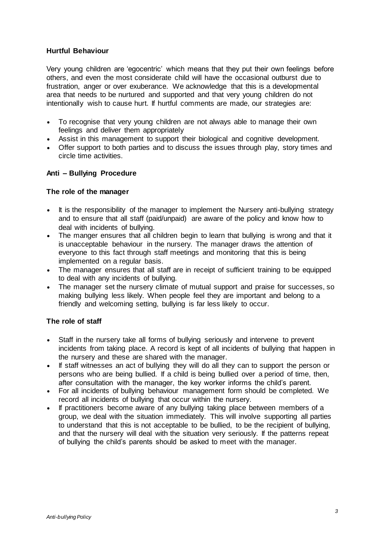#### **Hurtful Behaviour**

Very young children are 'egocentric' which means that they put their own feelings before others, and even the most considerate child will have the occasional outburst due to frustration, anger or over exuberance. We acknowledge that this is a developmental area that needs to be nurtured and supported and that very young children do not intentionally wish to cause hurt. If hurtful comments are made, our strategies are:

- To recognise that very young children are not always able to manage their own feelings and deliver them appropriately
- Assist in this management to support their biological and cognitive development.
- Offer support to both parties and to discuss the issues through play, story times and circle time activities.

### **Anti – Bullying Procedure**

#### **The role of the manager**

- It is the responsibility of the manager to implement the Nursery anti-bullying strategy and to ensure that all staff (paid/unpaid) are aware of the policy and know how to deal with incidents of bullying.
- The manger ensures that all children begin to learn that bullying is wrong and that it is unacceptable behaviour in the nursery. The manager draws the attention of everyone to this fact through staff meetings and monitoring that this is being implemented on a regular basis.
- The manager ensures that all staff are in receipt of sufficient training to be equipped to deal with any incidents of bullying.
- The manager set the nursery climate of mutual support and praise for successes, so making bullying less likely. When people feel they are important and belong to a friendly and welcoming setting, bullying is far less likely to occur.

#### **The role of staff**

- Staff in the nursery take all forms of bullying seriously and intervene to prevent incidents from taking place. A record is kept of all incidents of bullying that happen in the nursery and these are shared with the manager.
- If staff witnesses an act of bullying they will do all they can to support the person or persons who are being bullied. If a child is being bullied over a period of time, then, after consultation with the manager, the key worker informs the child's parent.
- For all incidents of bullying behaviour management form should be completed. We record all incidents of bullying that occur within the nursery.
- If practitioners become aware of any bullying taking place between members of a group, we deal with the situation immediately. This will involve supporting all parties to understand that this is not acceptable to be bullied, to be the recipient of bullying, and that the nursery will deal with the situation very seriously. If the patterns repeat of bullying the child's parents should be asked to meet with the manager.